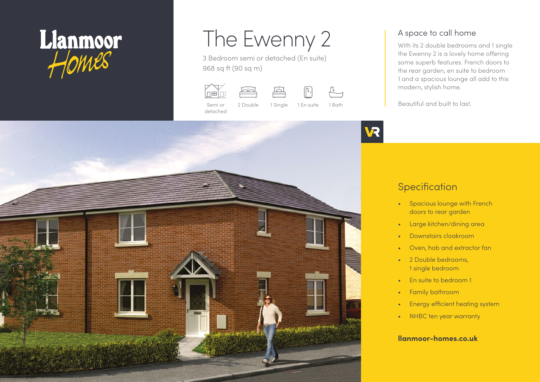

# The Ewenny 2

3 Bedroom semi or detached (En suite) 968 sq ft (90 sq m)







Semi or detached

2 Double 1 Single 1 En suite 1 Bath

## A space to call home

With its 2 double bedrooms and 1 single the Ewenny 2 is a lovely home offering some superb features. French doors to the rear garden, en suite to bedroom 1 and a spacious lounge all add to this modern, stylish home.

Beautiful and built to last.



# **Specification**

- Spacious lounge with French doors to rear garden
- Large kitchen/dining area
- Downstairs cloakroom
- Oven, hob and extractor fan
- 2 Double bedrooms, 1 single bedroom
- En suite to bedroom 1
- Family bathroom
- Energy efficient heating system
- NHBC ten year warranty

#### **llanmoor-homes.co.uk**